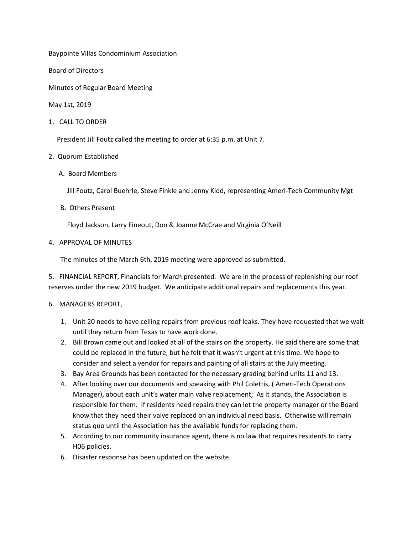Baypointe Villas Condominium Association

Board of Directors

Minutes of Regular Board Meeting

May 1st, 2019

1. CALL TO ORDER

President Jill Foutz called the meeting to order at 6:35 p.m. at Unit 7.

## 2. Quorum Established

A. Board Members

Jill Foutz, Carol Buehrle, Steve Finkle and Jenny Kidd, representing Ameri-Tech Community Mgt

B. Others Present

Floyd Jackson, Larry Fineout, Don & Joanne McCrae and Virginia O'Neill

4. APPROVAL OF MINUTES

The minutes of the March 6th, 2019 meeting were approved as submitted.

5. FINANCIAL REPORT, Financials for March presented. We are in the process of replenishing our roof reserves under the new 2019 budget. We anticipate additional repairs and replacements this year.

- 6. MANAGERS REPORT,
	- 1. Unit 20 needs to have ceiling repairs from previous roof leaks. They have requested that we wait until they return from Texas to have work done.
	- 2. Bill Brown came out and looked at all of the stairs on the property. He said there are some that could be replaced in the future, but he felt that it wasn't urgent at this time. We hope to consider and select a vendor for repairs and painting of all stairs at the July meeting.
	- 3. Bay Area Grounds has been contacted for the necessary grading behind units 11 and 13.
	- 4. After looking over our documents and speaking with Phil Colettis, ( Ameri-Tech Operations Manager), about each unit's water main valve replacement; As it stands, the Association is responsible for them. If residents need repairs they can let the property manager or the Board know that they need their valve replaced on an individual need basis. Otherwise will remain status quo until the Association has the available funds for replacing them.
	- 5. According to our community insurance agent, there is no law that requires residents to carry H06 policies.
	- 6. Disaster response has been updated on the website.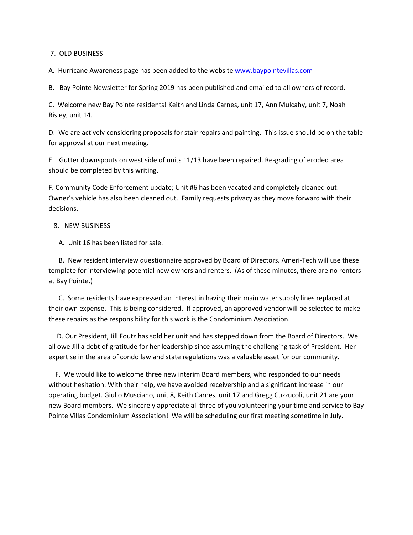7. OLD BUSINESS

A. Hurricane Awareness page has been added to the website [www.baypointevillas.com](http://www.baypointevillas.com/)

B. Bay Pointe Newsletter for Spring 2019 has been published and emailed to all owners of record.

C. Welcome new Bay Pointe residents! Keith and Linda Carnes, unit 17, Ann Mulcahy, unit 7, Noah Risley, unit 14.

D. We are actively considering proposals for stair repairs and painting. This issue should be on the table for approval at our next meeting.

E. Gutter downspouts on west side of units 11/13 have been repaired. Re-grading of eroded area should be completed by this writing.

F. Community Code Enforcement update; Unit #6 has been vacated and completely cleaned out. Owner's vehicle has also been cleaned out. Family requests privacy as they move forward with their decisions.

## 8. NEW BUSINESS

A. Unit 16 has been listed for sale.

 B. New resident interview questionnaire approved by Board of Directors. Ameri-Tech will use these template for interviewing potential new owners and renters. (As of these minutes, there are no renters at Bay Pointe.)

 C. Some residents have expressed an interest in having their main water supply lines replaced at their own expense. This is being considered. If approved, an approved vendor will be selected to make these repairs as the responsibility for this work is the Condominium Association.

 D. Our President, Jill Foutz has sold her unit and has stepped down from the Board of Directors. We all owe Jill a debt of gratitude for her leadership since assuming the challenging task of President. Her expertise in the area of condo law and state regulations was a valuable asset for our community.

 F. We would like to welcome three new interim Board members, who responded to our needs without hesitation. With their help, we have avoided receivership and a significant increase in our operating budget. Giulio Musciano, unit 8, Keith Carnes, unit 17 and Gregg Cuzzucoli, unit 21 are your new Board members. We sincerely appreciate all three of you volunteering your time and service to Bay Pointe Villas Condominium Association! We will be scheduling our first meeting sometime in July.